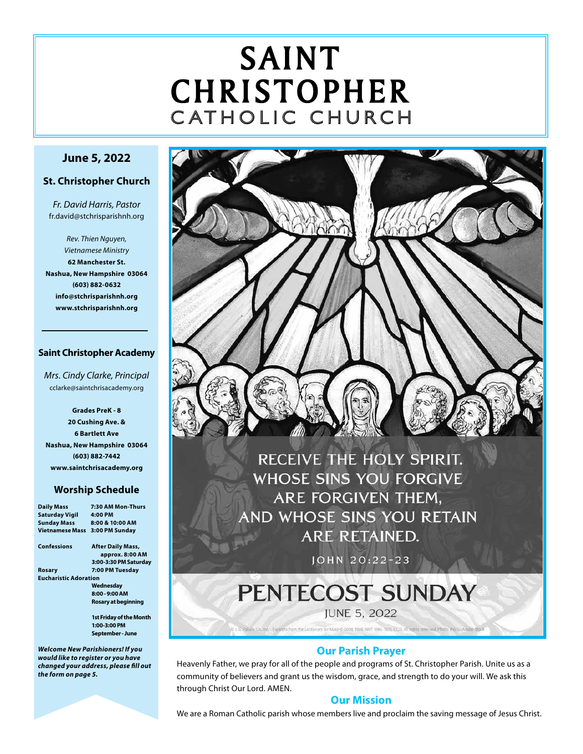# SAINT CHRISTOPHER C ATHOLIC CHURCH

# **June 5, 2022**

#### **St. Christopher Church**

*Fr. David Harris, Pastor* fr.david@stchrisparishnh.org

*Rev. Thien Nguyen, Vietnamese Ministry* **62 Manchester St. Nashua, New Hampshire 03064 (603) 882-0632 info@stchrisparishnh.org www.stchrisparishnh.org**

#### **Saint Christopher Academy**

*Mrs. Cindy Clarke, Principal* cclarke@saintchrisacademy.org

**Grades PreK - 8 20 Cushing Ave. & 6 Bartlett Ave Nashua, New Hampshire 03064 (603) 882-7442 www.saintchrisacademy.org**

#### **Worship Schedule**

| <b>Daily Mass</b>            | 7:30 AM Mon-Thurs                |
|------------------------------|----------------------------------|
| <b>Saturday Vigil</b>        | 4:00 PM                          |
| <b>Sunday Mass</b>           | 8:00 & 10:00 AM                  |
| <b>Vietnamese Mass</b>       | 3:00 PM Sunday                   |
| Confessions                  | <b>After Daily Mass,</b>         |
|                              | approx. 8:00 AM                  |
|                              | 3:00-3:30 PM Saturday            |
| Rosary                       | 7:00 PM Tuesday                  |
| <b>Eucharistic Adoration</b> |                                  |
|                              | Wednesday                        |
|                              | 8:00 - 9:00 AM                   |
|                              | Rosary at beginning              |
|                              | 1st Friday of the Month          |
|                              | 1:00-3:00 PM                     |
|                              | September - June                 |
|                              | Welcome New Parishioners! If you |

*would like to register or you have changed your address, please fill out the form on page 5.*



RECEIVE THE HOLY SPIRIT. **WHOSE SINS YOU FORGIVE** ARE FORGIVEN THEM. AND WHOSE SINS YOU RETAIN **ARE RETAINED.** 

JOHN 20:22-23

# PENTECOST SUNDAY

**JUNE 5, 2022** 

.<br>Its from the Lectionary for Mass © 2008, 1998, 1997, 1986, 1976, CCD, All rights reserved. Photo: Pio S/Adobe Stock

# **Our Parish Prayer**

Heavenly Father, we pray for all of the people and programs of St. Christopher Parish. Unite us as a community of believers and grant us the wisdom, grace, and strength to do your will. We ask this through Christ Our Lord. AMEN.

# **Our Mission**

We are a Roman Catholic parish whose members live and proclaim the saving message of Jesus Christ.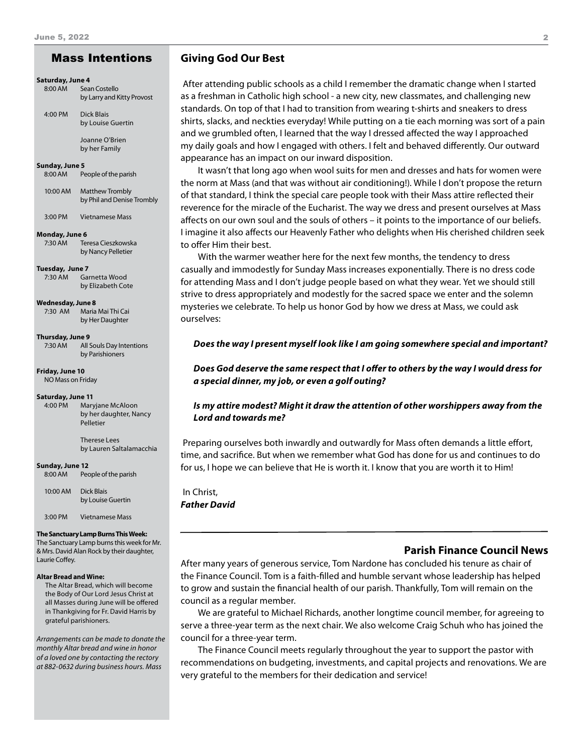#### **Saturday, June 4**

| 8:00 AM | Sean Costello              |
|---------|----------------------------|
|         | by Larry and Kitty Provost |

4:00 PM Dick Blais by Louise Guertin

 Joanne O'Brien by her Family

#### **Sunday, June 5**

8:00 AM People of the parish

10:00 AM Matthew Trombly by Phil and Denise Trombly

3:00 PM Vietnamese Mass

#### **Monday, June 6**

7:30 AM Teresa Cieszkowska by Nancy Pelletier

**Tuesday, June 7**

7:30 AM Garnetta Wood by Elizabeth Cote

**Wednesday, June 8**

7:30 AM Maria Mai Thi Cai by Her Daughter

#### **Thursday, June 9**

7:30 AM All Souls Day Intentions by Parishioners

#### **Friday, June 10**

NO Mass on Friday

#### **Saturday, June 11**

4:00 PM Maryjane McAloon by her daughter, Nancy Pelletier

> Therese Lees by Lauren Saltalamacchia

#### **Sunday, June 12**

8:00 AM People of the parish

10:00 AM Dick Blais by Louise Guertin

3:00 PM Vietnamese Mass

#### **The Sanctuary Lamp Burns This Week:**

The Sanctuary Lamp burns this week for Mr. & Mrs. David Alan Rock by their daughter, Laurie Coffey.

#### **Altar Bread and Wine:**

The Altar Bread, which will become the Body of Our Lord Jesus Christ at all Masses during June will be offered in Thankgiving for Fr. David Harris by grateful parishioners.

*Arrangements can be made to donate the monthly Altar bread and wine in honor of a loved one by contacting the rectory at 882-0632 during business hours. Mass* 

#### Mass Intentions **Giving God Our Best**

 After attending public schools as a child I remember the dramatic change when I started as a freshman in Catholic high school - a new city, new classmates, and challenging new standards. On top of that I had to transition from wearing t-shirts and sneakers to dress shirts, slacks, and neckties everyday! While putting on a tie each morning was sort of a pain and we grumbled often, I learned that the way I dressed affected the way I approached my daily goals and how I engaged with others. I felt and behaved differently. Our outward appearance has an impact on our inward disposition.

It wasn't that long ago when wool suits for men and dresses and hats for women were the norm at Mass (and that was without air conditioning!). While I don't propose the return of that standard, I think the special care people took with their Mass attire reflected their reverence for the miracle of the Eucharist. The way we dress and present ourselves at Mass affects on our own soul and the souls of others – it points to the importance of our beliefs. I imagine it also affects our Heavenly Father who delights when His cherished children seek to offer Him their best.

With the warmer weather here for the next few months, the tendency to dress casually and immodestly for Sunday Mass increases exponentially. There is no dress code for attending Mass and I don't judge people based on what they wear. Yet we should still strive to dress appropriately and modestly for the sacred space we enter and the solemn mysteries we celebrate. To help us honor God by how we dress at Mass, we could ask ourselves:

#### *Does the way I present myself look like I am going somewhere special and important?*

#### *Does God deserve the same respect that I offer to others by the way I would dress for a special dinner, my job, or even a golf outing?*

#### *Is my attire modest? Might it draw the attention of other worshippers away from the Lord and towards me?*

 Preparing ourselves both inwardly and outwardly for Mass often demands a little effort, time, and sacrifice. But when we remember what God has done for us and continues to do for us, I hope we can believe that He is worth it. I know that you are worth it to Him!

 In Christ, *Father David*

# **Parish Finance Council News**

After many years of generous service, Tom Nardone has concluded his tenure as chair of the Finance Council. Tom is a faith-filled and humble servant whose leadership has helped to grow and sustain the financial health of our parish. Thankfully, Tom will remain on the council as a regular member.

We are grateful to Michael Richards, another longtime council member, for agreeing to serve a three-year term as the next chair. We also welcome Craig Schuh who has joined the council for a three-year term.

The Finance Council meets regularly throughout the year to support the pastor with recommendations on budgeting, investments, and capital projects and renovations. We are very grateful to the members for their dedication and service!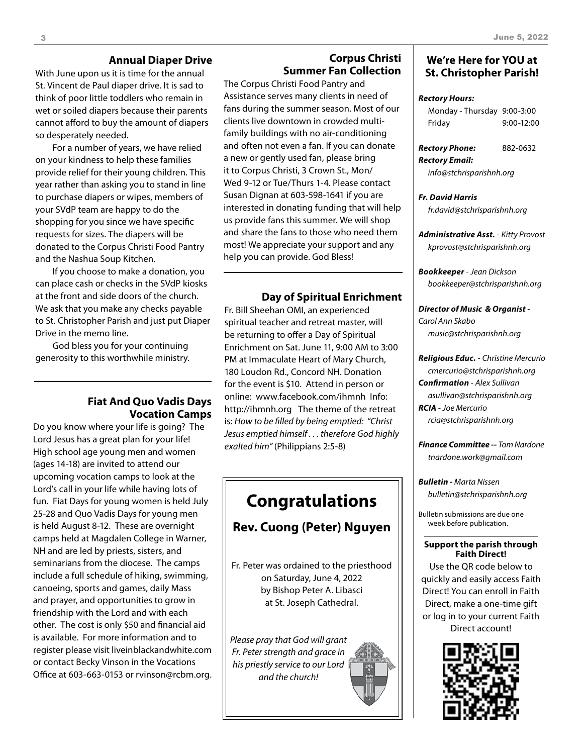# **Annual Diaper Drive**

With June upon us it is time for the annual St. Vincent de Paul diaper drive. It is sad to think of poor little toddlers who remain in wet or soiled diapers because their parents cannot afford to buy the amount of diapers so desperately needed.

For a number of years, we have relied on your kindness to help these families provide relief for their young children. This year rather than asking you to stand in line to purchase diapers or wipes, members of your SVdP team are happy to do the shopping for you since we have specific requests for sizes. The diapers will be donated to the Corpus Christi Food Pantry and the Nashua Soup Kitchen.

If you choose to make a donation, you can place cash or checks in the SVdP kiosks at the front and side doors of the church. We ask that you make any checks payable to St. Christopher Parish and just put Diaper Drive in the memo line.

God bless you for your continuing generosity to this worthwhile ministry.

### **Fiat And Quo Vadis Days Vocation Camps**

Do you know where your life is going? The Lord Jesus has a great plan for your life! High school age young men and women (ages 14-18) are invited to attend our upcoming vocation camps to look at the Lord's call in your life while having lots of fun. Fiat Days for young women is held July 25-28 and Quo Vadis Days for young men is held August 8-12. These are overnight camps held at Magdalen College in Warner, NH and are led by priests, sisters, and seminarians from the diocese. The camps include a full schedule of hiking, swimming, canoeing, sports and games, daily Mass and prayer, and opportunities to grow in friendship with the Lord and with each other. The cost is only \$50 and financial aid is available. For more information and to register please visit liveinblackandwhite.com or contact Becky Vinson in the Vocations Office at 603-663-0153 or rvinson@rcbm.org.

# **Corpus Christi Summer Fan Collection**

The Corpus Christi Food Pantry and Assistance serves many clients in need of fans during the summer season. Most of our clients live downtown in crowded multifamily buildings with no air-conditioning and often not even a fan. If you can donate a new or gently used fan, please bring it to Corpus Christi, 3 Crown St., Mon/ Wed 9-12 or Tue/Thurs 1-4. Please contact Susan Dignan at 603-598-1641 if you are interested in donating funding that will help us provide fans this summer. We will shop and share the fans to those who need them most! We appreciate your support and any help you can provide. God Bless!

#### **Day of Spiritual Enrichment**

Fr. Bill Sheehan OMI, an experienced spiritual teacher and retreat master, will be returning to offer a Day of Spiritual Enrichment on Sat. June 11, 9:00 AM to 3:00 PM at Immaculate Heart of Mary Church, 180 Loudon Rd., Concord NH. Donation for the event is \$10. Attend in person or online: www.facebook.com/ihmnh Info: http://ihmnh.org The theme of the retreat is: *How to be filled by being emptied: "Christ Jesus emptied himself . . . therefore God highly exalted him"* (Philippians 2:5-8)

# **Congratulations**

# **Rev. Cuong (Peter) Nguyen**

Fr. Peter was ordained to the priesthood on Saturday, June 4, 2022 by Bishop Peter A. Libasci at St. Joseph Cathedral.

*Please pray that God will grant Fr. Peter strength and grace in his priestly service to our Lord and the church!*

## **We're Here for YOU at St. Christopher Parish!**

#### *Rectory Hours:*

| Monday - Thursday 9:00-3:00 |              |
|-----------------------------|--------------|
| Friday                      | $9:00-12:00$ |

| Rectory Phone: | 882-0632 |
|----------------|----------|
| Rectory Email: |          |

*info@stchrisparishnh.org*

#### *Fr. David Harris fr.david@stchrisparishnh.org*

*Administrative Asst.* - *Kitty Provost kprovost@stchrisparishnh.org*

*Bookkeeper* - *Jean Dickson bookkeeper@stchrisparishnh.org*

*Director of Music & Organist* - *Carol Ann Skabo music@stchrisparishnh.org*

#### *Religious Educ.* - *Christine Mercurio cmercurio@stchrisparishnh.org Confirmation* - *Alex Sullivan asullivan@stchrisparishnh.org RCIA* - *Joe Mercurio rcia@stchrisparishnh.org*

*Finance Committee -- Tom Nardone tnardone.work@gmail.com*

*Bulletin - Marta Nissen bulletin@stchrisparishnh.org*

Bulletin submissions are due one week before publication.

#### **Support the parish through Faith Direct!**

Use the QR code below to quickly and easily access Faith Direct! You can enroll in Faith Direct, make a one-time gift or log in to your current Faith Direct account!

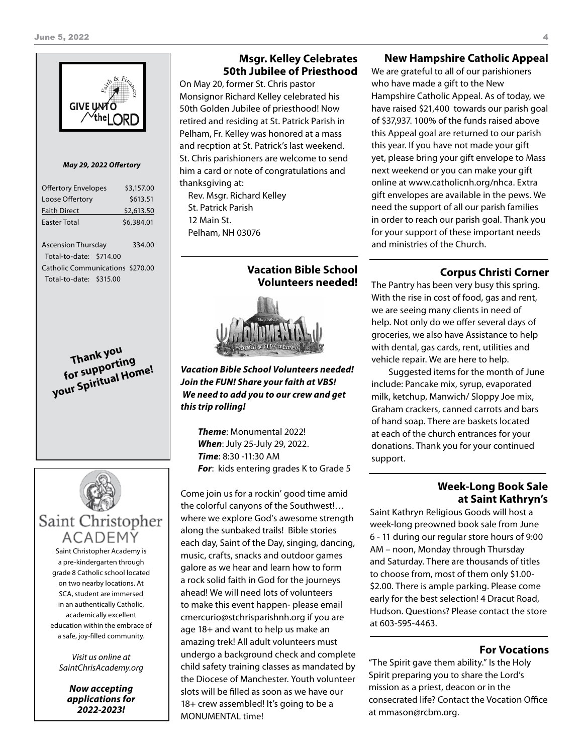

#### *May 29, 2022 Offertory*

| <b>Offertory Envelopes</b>              |  | \$3,157.00 |
|-----------------------------------------|--|------------|
| Loose Offertory                         |  | \$613.51   |
| <b>Faith Direct</b>                     |  | \$2,613.50 |
| <b>Faster Total</b>                     |  | \$6,384.01 |
|                                         |  |            |
| <b>Ascension Thursday</b>               |  | 334.00     |
| Total-to-date: \$714.00                 |  |            |
| <b>Catholic Communications \$270.00</b> |  |            |
| Total-to-date: \$315.00                 |  |            |
|                                         |  |            |

**Thank you for supporting your Spiritual Home!**



Saint Christopher Academy is a pre-kindergarten through grade 8 Catholic school located on two nearby locations. At SCA, student are immersed in an authentically Catholic, academically excellent education within the embrace of a safe, joy-filled community.

*Visit us online at SaintChrisAcademy.org*

*Now accepting applications for 2022-2023!*

### **Msgr. Kelley Celebrates 50th Jubilee of Priesthood**

On May 20, former St. Chris pastor Monsignor Richard Kelley celebrated his 50th Golden Jubilee of priesthood! Now retired and residing at St. Patrick Parish in Pelham, Fr. Kelley was honored at a mass and recption at St. Patrick's last weekend. St. Chris parishioners are welcome to send him a card or note of congratulations and thanksgiving at:

Rev. Msgr. Richard Kelley St. Patrick Parish 12 Main St. Pelham, NH 03076

## **Vacation Bible School Volunteers needed!**

*Vacation Bible School Volunteers needed! Join the FUN! Share your faith at VBS! We need to add you to our crew and get this trip rolling!*

*Theme*: Monumental 2022! *When*: July 25-July 29, 2022. *Time*: 8:30 -11:30 AM *For*: kids entering grades K to Grade 5

Come join us for a rockin' good time amid the colorful canyons of the Southwest!… where we explore God's awesome strength along the sunbaked trails! Bible stories each day, Saint of the Day, singing, dancing, music, crafts, snacks and outdoor games galore as we hear and learn how to form a rock solid faith in God for the journeys ahead! We will need lots of volunteers to make this event happen- please email cmercurio@stchrisparishnh.org if you are age 18+ and want to help us make an amazing trek! All adult volunteers must undergo a background check and complete child safety training classes as mandated by the Diocese of Manchester. Youth volunteer slots will be filled as soon as we have our 18+ crew assembled! It's going to be a MONUMENTAL time!

### **New Hampshire Catholic Appeal**

We are grateful to all of our parishioners who have made a gift to the New Hampshire Catholic Appeal. As of today, we have raised \$21,400 towards our parish goal of \$37,937. 100% of the funds raised above this Appeal goal are returned to our parish this year. If you have not made your gift yet, please bring your gift envelope to Mass next weekend or you can make your gift online at www.catholicnh.org/nhca. Extra gift envelopes are available in the pews. We need the support of all our parish families in order to reach our parish goal. Thank you for your support of these important needs and ministries of the Church.

# **Corpus Christi Corner**

The Pantry has been very busy this spring. With the rise in cost of food, gas and rent, we are seeing many clients in need of help. Not only do we offer several days of groceries, we also have Assistance to help with dental, gas cards, rent, utilities and vehicle repair. We are here to help.

Suggested items for the month of June include: Pancake mix, syrup, evaporated milk, ketchup, Manwich/ Sloppy Joe mix, Graham crackers, canned carrots and bars of hand soap. There are baskets located at each of the church entrances for your donations. Thank you for your continued support.

#### **Week-Long Book Sale at Saint Kathryn's**

Saint Kathryn Religious Goods will host a week-long preowned book sale from June 6 - 11 during our regular store hours of 9:00 AM – noon, Monday through Thursday and Saturday. There are thousands of titles to choose from, most of them only \$1.00- \$2.00. There is ample parking. Please come early for the best selection! 4 Dracut Road, Hudson. Questions? Please contact the store at 603-595-4463.

#### **For Vocations**

"The Spirit gave them ability." Is the Holy Spirit preparing you to share the Lord's mission as a priest, deacon or in the consecrated life? Contact the Vocation Office at mmason@rcbm.org.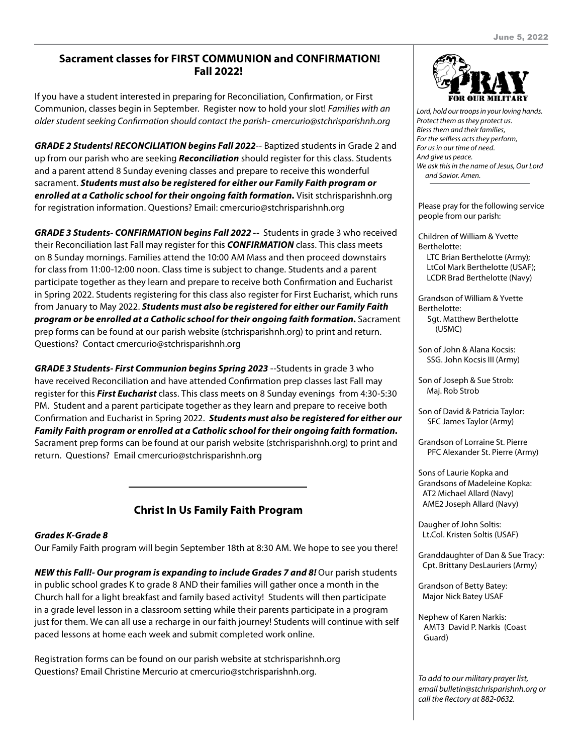# **Sacrament classes for FIRST COMMUNION and CONFIRMATION! Fall 2022!**

If you have a student interested in preparing for Reconciliation, Confirmation, or First Communion, classes begin in September. Register now to hold your slot! *Families with an older student seeking Confirmation should contact the parish- cmercurio@stchrisparishnh.org*

*GRADE 2 Students! RECONCILIATION begins Fall 2022*-- Baptized students in Grade 2 and up from our parish who are seeking *Reconciliation* should register for this class. Students and a parent attend 8 Sunday evening classes and prepare to receive this wonderful sacrament. *Students must also be registered for either our Family Faith program or enrolled at a Catholic school for their ongoing faith formation.* Visit stchrisparishnh.org for registration information. Questions? Email: cmercurio@stchrisparishnh.org

*GRADE 3 Students- CONFIRMATION begins Fall 2022 --* Students in grade 3 who received their Reconciliation last Fall may register for this *CONFIRMATION* class. This class meets on 8 Sunday mornings. Families attend the 10:00 AM Mass and then proceed downstairs for class from 11:00-12:00 noon. Class time is subject to change. Students and a parent participate together as they learn and prepare to receive both Confirmation and Eucharist in Spring 2022. Students registering for this class also register for First Eucharist, which runs from January to May 2022. *Students must also be registered for either our Family Faith program or be enrolled at a Catholic school for their ongoing faith formation.* Sacrament prep forms can be found at our parish website (stchrisparishnh.org) to print and return. Questions? Contact cmercurio@stchrisparishnh.org

*GRADE 3 Students- First Communion begins Spring 2023* --Students in grade 3 who have received Reconciliation and have attended Confirmation prep classes last Fall may register for this *First Eucharist* class. This class meets on 8 Sunday evenings from 4:30-5:30 PM. Student and a parent participate together as they learn and prepare to receive both Confirmation and Eucharist in Spring 2022. *Students must also be registered for either our Family Faith program or enrolled at a Catholic school for their ongoing faith formation.* Sacrament prep forms can be found at our parish website (stchrisparishnh.org) to print and return. Questions? Email cmercurio@stchrisparishnh.org

# **Christ In Us Family Faith Program**

#### *Grades K-Grade 8*

Our Family Faith program will begin September 18th at 8:30 AM. We hope to see you there!

*NEW this Fall!- Our program is expanding to include Grades 7 and 8! Our parish students* in public school grades K to grade 8 AND their families will gather once a month in the Church hall for a light breakfast and family based activity! Students will then participate in a grade level lesson in a classroom setting while their parents participate in a program just for them. We can all use a recharge in our faith journey! Students will continue with self paced lessons at home each week and submit completed work online.

Registration forms can be found on our parish website at stchrisparishnh.org Questions? Email Christine Mercurio at cmercurio@stchrisparishnh.org.



*Lord, hold our troops in your loving hands. Protect them as they protect us. Bless them and their families, For the selfless acts they perform, For us in our time of need. And give us peace. We ask this in the name of Jesus, Our Lord and Savior. Amen.*

Please pray for the following service people from our parish:

Children of William & Yvette Berthelotte: LTC Brian Berthelotte (Army); LtCol Mark Berthelotte (USAF); LCDR Brad Berthelotte (Navy)

Grandson of William & Yvette Berthelotte: Sgt. Matthew Berthelotte

(USMC)

Son of John & Alana Kocsis: SSG. John Kocsis III (Army)

Son of Joseph & Sue Strob: Maj. Rob Strob

Son of David & Patricia Taylor: SFC James Taylor (Army)

Grandson of Lorraine St. Pierre PFC Alexander St. Pierre (Army)

Sons of Laurie Kopka and Grandsons of Madeleine Kopka: AT2 Michael Allard (Navy) AME2 Joseph Allard (Navy)

Daugher of John Soltis: Lt.Col. Kristen Soltis (USAF)

Granddaughter of Dan & Sue Tracy: Cpt. Brittany DesLauriers (Army)

Grandson of Betty Batey: Major Nick Batey USAF

Nephew of Karen Narkis: AMT3 David P. Narkis (Coast Guard)

*To add to our military prayer list, email bulletin@stchrisparishnh.org or call the Rectory at 882-0632.*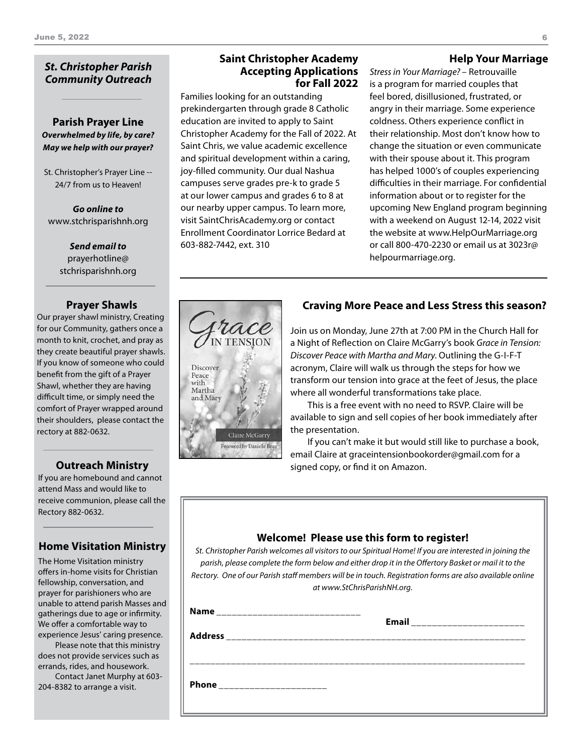# *St. Christopher Parish Community Outreach*

**Parish Prayer Line** *Overwhelmed by life, by care? May we help with our prayer?*

St. Christopher's Prayer Line -- 24/7 from us to Heaven!

*Go online to* www.stchrisparishnh.org

> *Send email to* prayerhotline@ stchrisparishnh.org

#### **Prayer Shawls**

Our prayer shawl ministry, Creating for our Community, gathers once a month to knit, crochet, and pray as they create beautiful prayer shawls. If you know of someone who could benefit from the gift of a Prayer Shawl, whether they are having difficult time, or simply need the comfort of Prayer wrapped around their shoulders, please contact the rectory at 882-0632.

#### **Outreach Ministry**

If you are homebound and cannot attend Mass and would like to receive communion, please call the Rectory 882-0632.

# **Home Visitation Ministry**

The Home Visitation ministry offers in-home visits for Christian fellowship, conversation, and prayer for parishioners who are unable to attend parish Masses and gatherings due to age or infirmity. We offer a comfortable way to experience Jesus' caring presence.

Please note that this ministry does not provide services such as errands, rides, and housework.

Contact Janet Murphy at 603- 204-8382 to arrange a visit.

#### **Saint Christopher Academy Accepting Applications for Fall 2022**

Families looking for an outstanding prekindergarten through grade 8 Catholic education are invited to apply to Saint Christopher Academy for the Fall of 2022. At Saint Chris, we value academic excellence and spiritual development within a caring, joy-filled community. Our dual Nashua campuses serve grades pre-k to grade 5 at our lower campus and grades 6 to 8 at our nearby upper campus. To learn more, visit SaintChrisAcademy.org or contact Enrollment Coordinator Lorrice Bedard at 603-882-7442, ext. 310

**IN TENSION** 

Claire McGarry oreword by Danielle Bean

Discover Peace with Martha and Mary

### **Help Your Marriage**

*Stress in Your Marriage?* – Retrouvaille is a program for married couples that feel bored, disillusioned, frustrated, or angry in their marriage. Some experience coldness. Others experience conflict in their relationship. Most don't know how to change the situation or even communicate with their spouse about it. This program has helped 1000's of couples experiencing difficulties in their marriage. For confidential information about or to register for the upcoming New England program beginning with a weekend on August 12-14, 2022 visit the website at www.HelpOurMarriage.org or call 800-470-2230 or email us at 3023r@ helpourmarriage.org.

# **Craving More Peace and Less Stress this season?**

Join us on Monday, June 27th at 7:00 PM in the Church Hall for a Night of Reflection on Claire McGarry's book *Grace in Tension: Discover Peace with Martha and Mary*. Outlining the G-I-F-T acronym, Claire will walk us through the steps for how we transform our tension into grace at the feet of Jesus, the place where all wonderful transformations take place.

This is a free event with no need to RSVP. Claire will be available to sign and sell copies of her book immediately after the presentation.

If you can't make it but would still like to purchase a book, email Claire at graceintensionbookorder@gmail.com for a signed copy, or find it on Amazon.

# **Welcome! Please use this form to register!**

*St. Christopher Parish welcomes all visitors to our Spiritual Home! If you are interested in joining the parish, please complete the form below and either drop it in the Offertory Basket or mail it to the Rectory. One of our Parish staff members will be in touch. Registration forms are also available online at www.StChrisParishNH.org.*

| <b>Name</b>  | Email _________________________ |  |
|--------------|---------------------------------|--|
|              |                                 |  |
|              |                                 |  |
| <b>Phone</b> |                                 |  |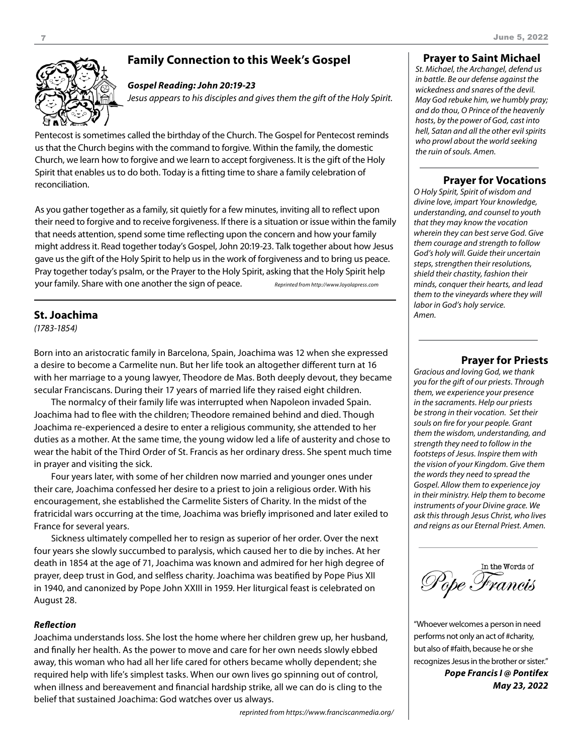# **Family Connection to this Week's Gospel**



#### *Gospel Reading: John 20:19-23*

*Jesus appears to his disciples and gives them the gift of the Holy Spirit.*

Pentecost is sometimes called the birthday of the Church. The Gospel for Pentecost reminds us that the Church begins with the command to forgive. Within the family, the domestic Church, we learn how to forgive and we learn to accept forgiveness. It is the gift of the Holy Spirit that enables us to do both. Today is a fitting time to share a family celebration of reconciliation.

As you gather together as a family, sit quietly for a few minutes, inviting all to reflect upon their need to forgive and to receive forgiveness. If there is a situation or issue within the family that needs attention, spend some time reflecting upon the concern and how your family might address it. Read together today's Gospel, John 20:19-23. Talk together about how Jesus gave us the gift of the Holy Spirit to help us in the work of forgiveness and to bring us peace. Pray together today's psalm, or the Prayer to the Holy Spirit, asking that the Holy Spirit help your family. Share with one another the sign of peace. *Reprinted from http://www.loyolapress.com*

#### **St. Joachima**

*(1783-1854)*

Born into an aristocratic family in Barcelona, Spain, Joachima was 12 when she expressed a desire to become a Carmelite nun. But her life took an altogether different turn at 16 with her marriage to a young lawyer, Theodore de Mas. Both deeply devout, they became secular Franciscans. During their 17 years of married life they raised eight children.

The normalcy of their family life was interrupted when Napoleon invaded Spain. Joachima had to flee with the children; Theodore remained behind and died. Though Joachima re-experienced a desire to enter a religious community, she attended to her duties as a mother. At the same time, the young widow led a life of austerity and chose to wear the habit of the Third Order of St. Francis as her ordinary dress. She spent much time in prayer and visiting the sick.

Four years later, with some of her children now married and younger ones under their care, Joachima confessed her desire to a priest to join a religious order. With his encouragement, she established the Carmelite Sisters of Charity. In the midst of the fratricidal wars occurring at the time, Joachima was briefly imprisoned and later exiled to France for several years.

Sickness ultimately compelled her to resign as superior of her order. Over the next four years she slowly succumbed to paralysis, which caused her to die by inches. At her death in 1854 at the age of 71, Joachima was known and admired for her high degree of prayer, deep trust in God, and selfless charity. Joachima was beatified by Pope Pius XII in 1940, and canonized by Pope John XXIII in 1959. Her liturgical feast is celebrated on August 28.

#### *Reflection*

Joachima understands loss. She lost the home where her children grew up, her husband, and finally her health. As the power to move and care for her own needs slowly ebbed away, this woman who had all her life cared for others became wholly dependent; she required help with life's simplest tasks. When our own lives go spinning out of control, when illness and bereavement and financial hardship strike, all we can do is cling to the belief that sustained Joachima: God watches over us always.

*reprinted from https://www.franciscanmedia.org/*

#### **Prayer to Saint Michael**

*St. Michael, the Archangel, defend us in battle. Be our defense against the wickedness and snares of the devil. May God rebuke him, we humbly pray; and do thou, O Prince of the heavenly hosts, by the power of God, cast into hell, Satan and all the other evil spirits who prowl about the world seeking the ruin of souls. Amen.*

#### **Prayer for Vocations**

*O Holy Spirit, Spirit of wisdom and divine love, impart Your knowledge, understanding, and counsel to youth that they may know the vocation wherein they can best serve God. Give them courage and strength to follow God's holy will. Guide their uncertain steps, strengthen their resolutions, shield their chastity, fashion their minds, conquer their hearts, and lead them to the vineyards where they will labor in God's holy service. Amen.*

#### **Prayer for Priests**

*Gracious and loving God, we thank you for the gift of our priests. Through them, we experience your presence in the sacraments. Help our priests be strong in their vocation. Set their souls on fire for your people. Grant them the wisdom, understanding, and strength they need to follow in the footsteps of Jesus. Inspire them with the vision of your Kingdom. Give them the words they need to spread the Gospel. Allow them to experience joy in their ministry. Help them to become instruments of your Divine grace. We ask this through Jesus Christ, who lives and reigns as our Eternal Priest. Amen.*

In the Words of Pope Francis

"Whoever welcomes a person in need performs not only an act of #charity, but also of #faith, because he or she recognizes Jesus in the brother or sister." *Pope Francis I @ Pontifex May 23, 2022*